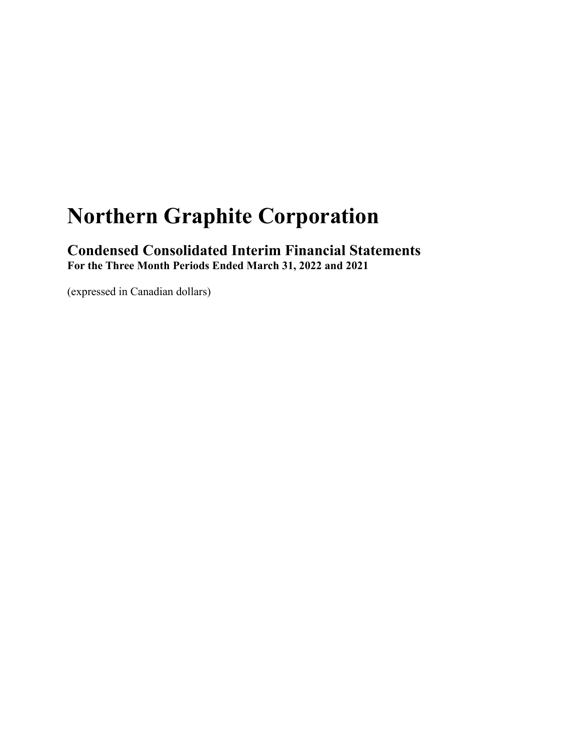# **Northern Graphite Corporation**

 **Condensed Consolidated Interim Financial Statements For the Three Month Periods Ended March 31, 2022 and 2021** 

(expressed in Canadian dollars)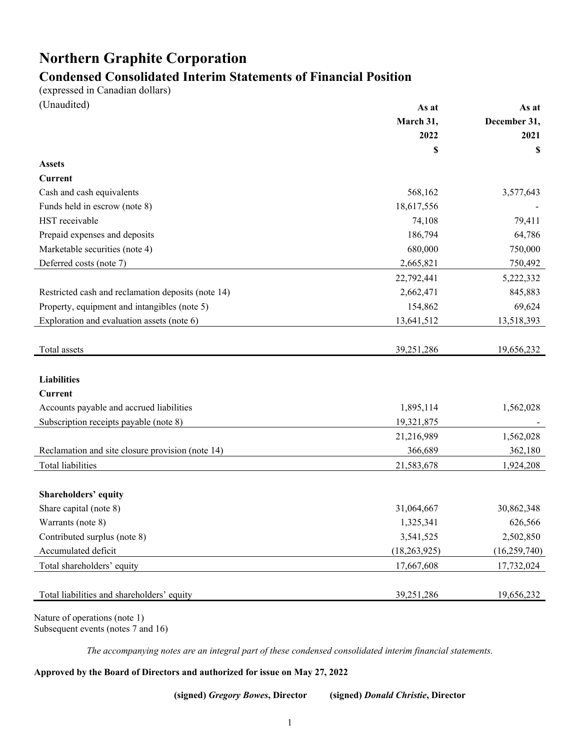# **Northern Graphite Corporation**

# **Condensed Consolidated Interim Statements of Financial Position**

(expressed in Canadian dollars)

| (Unaudited)                                        | As at          | As at          |
|----------------------------------------------------|----------------|----------------|
|                                                    | March 31,      | December 31,   |
|                                                    | 2022           | 2021           |
|                                                    | \$             | S              |
| <b>Assets</b>                                      |                |                |
| <b>Current</b>                                     |                |                |
| Cash and cash equivalents                          | 568,162        | 3,577,643      |
| Funds held in escrow (note 8)                      | 18,617,556     |                |
| HST receivable                                     | 74,108         | 79,411         |
| Prepaid expenses and deposits                      | 186,794        | 64,786         |
| Marketable securities (note 4)                     | 680,000        | 750,000        |
| Deferred costs (note 7)                            | 2,665,821      | 750,492        |
|                                                    | 22,792,441     | 5,222,332      |
| Restricted cash and reclamation deposits (note 14) | 2,662,471      | 845,883        |
| Property, equipment and intangibles (note 5)       | 154,862        | 69,624         |
| Exploration and evaluation assets (note 6)         | 13,641,512     | 13,518,393     |
|                                                    |                |                |
| Total assets                                       | 39,251,286     | 19,656,232     |
|                                                    |                |                |
| <b>Liabilities</b>                                 |                |                |
| <b>Current</b>                                     |                |                |
| Accounts payable and accrued liabilities           | 1,895,114      | 1,562,028      |
| Subscription receipts payable (note 8)             | 19,321,875     |                |
|                                                    | 21,216,989     | 1,562,028      |
| Reclamation and site closure provision (note 14)   | 366,689        | 362,180        |
| <b>Total liabilities</b>                           | 21,583,678     | 1,924,208      |
|                                                    |                |                |
| Shareholders' equity                               |                |                |
| Share capital (note 8)                             | 31,064,667     | 30,862,348     |
| Warrants (note 8)                                  | 1,325,341      | 626,566        |
| Contributed surplus (note 8)                       | 3,541,525      | 2,502,850      |
| Accumulated deficit                                | (18, 263, 925) | (16, 259, 740) |
| Total shareholders' equity                         | 17,667,608     | 17,732,024     |
|                                                    |                |                |
| Total liabilities and shareholders' equity         | 39,251,286     | 19,656,232     |
|                                                    |                |                |

Nature of operations (note 1) Subsequent events (notes 7 and 16)

*The accompanying notes are an integral part of these condensed consolidated interim financial statements.* 

**Approved by the Board of Directors and authorized for issue on May 27, 2022** 

 **(signed)** *Gregory Bowes***, Director (signed)** *Donald Christie***, Director**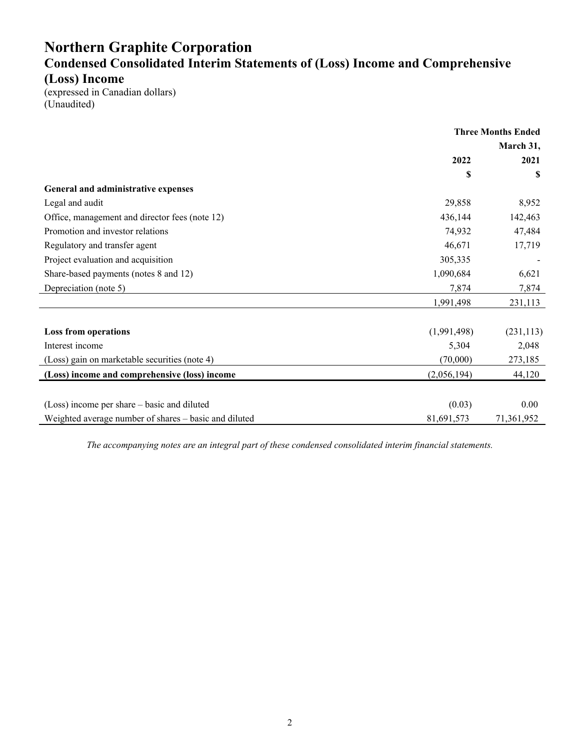# **Northern Graphite Corporation Condensed Consolidated Interim Statements of (Loss) Income and Comprehensive (Loss) Income**

(expressed in Canadian dollars) (Unaudited)

|                                                       | <b>Three Months Ended</b> |            |
|-------------------------------------------------------|---------------------------|------------|
|                                                       | March 31,                 |            |
|                                                       | 2022                      | 2021       |
|                                                       | \$                        | S          |
| General and administrative expenses                   |                           |            |
| Legal and audit                                       | 29,858                    | 8,952      |
| Office, management and director fees (note 12)        | 436,144                   | 142,463    |
| Promotion and investor relations                      | 74,932                    | 47,484     |
| Regulatory and transfer agent                         | 46,671                    | 17,719     |
| Project evaluation and acquisition                    | 305,335                   |            |
| Share-based payments (notes 8 and 12)                 | 1,090,684                 | 6,621      |
| Depreciation (note 5)                                 | 7,874                     | 7,874      |
|                                                       | 1,991,498                 | 231,113    |
|                                                       |                           |            |
| <b>Loss from operations</b>                           | (1,991,498)               | (231, 113) |
| Interest income                                       | 5,304                     | 2,048      |
| (Loss) gain on marketable securities (note 4)         | (70,000)                  | 273,185    |
| (Loss) income and comprehensive (loss) income         | (2,056,194)               | 44,120     |
|                                                       |                           |            |
| (Loss) income per share – basic and diluted           | (0.03)                    | 0.00       |
| Weighted average number of shares – basic and diluted | 81,691,573                | 71,361,952 |

*The accompanying notes are an integral part of these condensed consolidated interim financial statements.*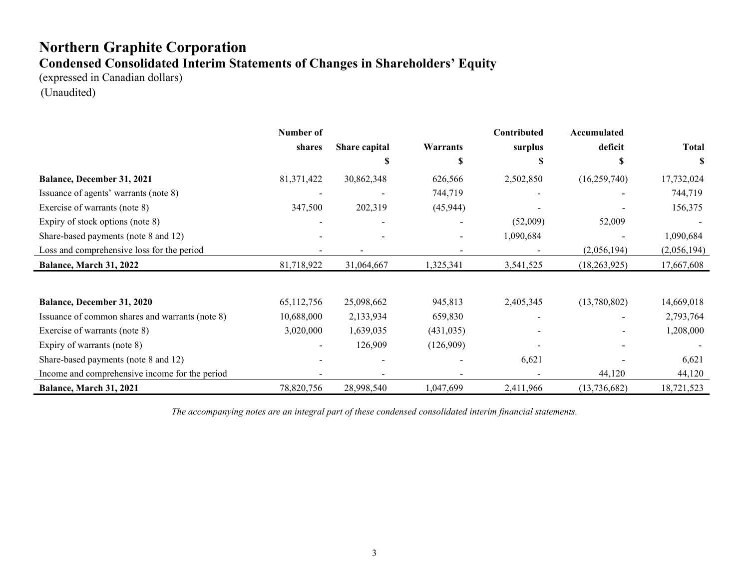# **Northern Graphite Corporation Condensed Consolidated Interim Statements of Changes in Shareholders' Equity**

(expressed in Canadian dollars) (Unaudited)

|                                                 | Number of  |               |            | Contributed | Accumulated    |              |
|-------------------------------------------------|------------|---------------|------------|-------------|----------------|--------------|
|                                                 | shares     | Share capital | Warrants   | surplus     | deficit        | <b>Total</b> |
|                                                 |            |               | J.         |             | S              | S            |
| Balance, December 31, 2021                      | 81,371,422 | 30,862,348    | 626,566    | 2,502,850   | (16, 259, 740) | 17,732,024   |
| Issuance of agents' warrants (note 8)           |            |               | 744,719    |             |                | 744,719      |
| Exercise of warrants (note 8)                   | 347,500    | 202,319       | (45, 944)  |             |                | 156,375      |
| Expiry of stock options (note 8)                |            |               |            | (52,009)    | 52,009         |              |
| Share-based payments (note 8 and 12)            |            |               |            | 1,090,684   |                | 1,090,684    |
| Loss and comprehensive loss for the period      |            |               |            |             | (2,056,194)    | (2,056,194)  |
| Balance, March 31, 2022                         | 81,718,922 | 31,064,667    | 1,325,341  | 3,541,525   | (18, 263, 925) | 17,667,608   |
|                                                 |            |               |            |             |                |              |
| <b>Balance, December 31, 2020</b>               | 65,112,756 | 25,098,662    | 945,813    | 2,405,345   | (13,780,802)   | 14,669,018   |
| Issuance of common shares and warrants (note 8) | 10,688,000 | 2,133,934     | 659,830    |             |                | 2,793,764    |
| Exercise of warrants (note 8)                   | 3,020,000  | 1,639,035     | (431, 035) |             |                | 1,208,000    |
| Expiry of warrants (note 8)                     |            | 126,909       | (126,909)  |             |                |              |
| Share-based payments (note 8 and 12)            |            |               |            | 6,621       |                | 6,621        |
| Income and comprehensive income for the period  |            |               |            |             | 44,120         | 44,120       |
| Balance, March 31, 2021                         | 78,820,756 | 28,998,540    | 1,047,699  | 2,411,966   | (13, 736, 682) | 18,721,523   |

*The accompanying notes are an integral part of these condensed consolidated interim financial statements.*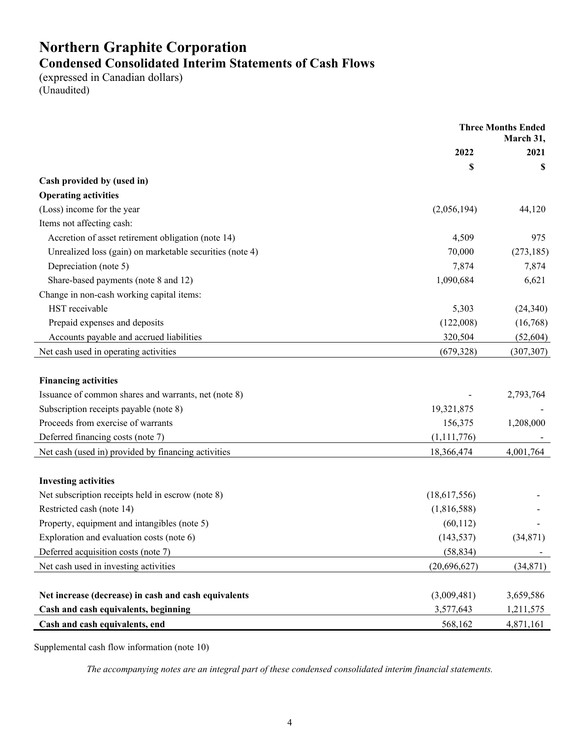# **Northern Graphite Corporation Condensed Consolidated Interim Statements of Cash Flows**

(expressed in Canadian dollars) (Unaudited)

|                                                          | <b>Three Months Ended</b><br>March 31, |            |
|----------------------------------------------------------|----------------------------------------|------------|
|                                                          | 2022                                   | 2021       |
|                                                          | \$                                     | \$         |
| Cash provided by (used in)                               |                                        |            |
| <b>Operating activities</b>                              |                                        |            |
| (Loss) income for the year                               | (2,056,194)                            | 44,120     |
| Items not affecting cash:                                |                                        |            |
| Accretion of asset retirement obligation (note 14)       | 4,509                                  | 975        |
| Unrealized loss (gain) on marketable securities (note 4) | 70,000                                 | (273, 185) |
| Depreciation (note 5)                                    | 7,874                                  | 7,874      |
| Share-based payments (note 8 and 12)                     | 1,090,684                              | 6,621      |
| Change in non-cash working capital items:                |                                        |            |
| HST receivable                                           | 5,303                                  | (24, 340)  |
| Prepaid expenses and deposits                            | (122,008)                              | (16,768)   |
| Accounts payable and accrued liabilities                 | 320,504                                | (52, 604)  |
| Net cash used in operating activities                    | (679, 328)                             | (307, 307) |
| <b>Financing activities</b>                              |                                        |            |
| Issuance of common shares and warrants, net (note 8)     |                                        | 2,793,764  |
| Subscription receipts payable (note 8)                   | 19,321,875                             |            |
| Proceeds from exercise of warrants                       | 156,375                                | 1,208,000  |
| Deferred financing costs (note 7)                        | (1, 111, 776)                          |            |
| Net cash (used in) provided by financing activities      | 18,366,474                             | 4,001,764  |
| <b>Investing activities</b>                              |                                        |            |
| Net subscription receipts held in escrow (note 8)        | (18,617,556)                           |            |
| Restricted cash (note 14)                                | (1,816,588)                            |            |
| Property, equipment and intangibles (note 5)             | (60, 112)                              |            |
| Exploration and evaluation costs (note 6)                | (143, 537)                             | (34,871)   |
| Deferred acquisition costs (note 7)                      | (58, 834)                              |            |
| Net cash used in investing activities                    | (20,696,627)                           | (34, 871)  |
|                                                          |                                        |            |
| Net increase (decrease) in cash and cash equivalents     | (3,009,481)                            | 3,659,586  |
| Cash and cash equivalents, beginning                     | 3,577,643                              | 1,211,575  |
| Cash and cash equivalents, end                           | 568,162                                | 4,871,161  |

Supplemental cash flow information (note 10)

*The accompanying notes are an integral part of these condensed consolidated interim financial statements.*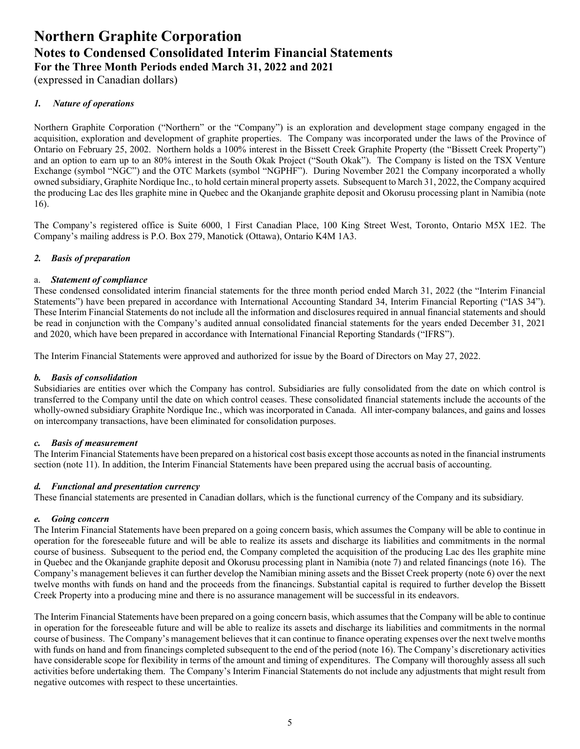(expressed in Canadian dollars)

### *1. Nature of operations*

Northern Graphite Corporation ("Northern" or the "Company") is an exploration and development stage company engaged in the acquisition, exploration and development of graphite properties. The Company was incorporated under the laws of the Province of Ontario on February 25, 2002. Northern holds a 100% interest in the Bissett Creek Graphite Property (the "Bissett Creek Property") and an option to earn up to an 80% interest in the South Okak Project ("South Okak"). The Company is listed on the TSX Venture Exchange (symbol "NGC") and the OTC Markets (symbol "NGPHF"). During November 2021 the Company incorporated a wholly owned subsidiary, Graphite Nordique Inc., to hold certain mineral property assets. Subsequent to March 31, 2022, the Company acquired the producing Lac des lles graphite mine in Quebec and the Okanjande graphite deposit and Okorusu processing plant in Namibia (note 16).

The Company's registered office is Suite 6000, 1 First Canadian Place, 100 King Street West, Toronto, Ontario M5X 1E2. The Company's mailing address is P.O. Box 279, Manotick (Ottawa), Ontario K4M 1A3.

### *2. Basis of preparation*

### a. *Statement of compliance*

These condensed consolidated interim financial statements for the three month period ended March 31, 2022 (the "Interim Financial Statements") have been prepared in accordance with International Accounting Standard 34, Interim Financial Reporting ("IAS 34"). These Interim Financial Statements do not include all the information and disclosures required in annual financial statements and should be read in conjunction with the Company's audited annual consolidated financial statements for the years ended December 31, 2021 and 2020, which have been prepared in accordance with International Financial Reporting Standards ("IFRS").

The Interim Financial Statements were approved and authorized for issue by the Board of Directors on May 27, 2022.

### *b. Basis of consolidation*

Subsidiaries are entities over which the Company has control. Subsidiaries are fully consolidated from the date on which control is transferred to the Company until the date on which control ceases. These consolidated financial statements include the accounts of the wholly-owned subsidiary Graphite Nordique Inc., which was incorporated in Canada. All inter-company balances, and gains and losses on intercompany transactions, have been eliminated for consolidation purposes.

### *c. Basis of measurement*

The Interim Financial Statements have been prepared on a historical cost basis except those accounts as noted in the financial instruments section (note 11). In addition, the Interim Financial Statements have been prepared using the accrual basis of accounting.

### *d. Functional and presentation currency*

These financial statements are presented in Canadian dollars, which is the functional currency of the Company and its subsidiary.

### *e. Going concern*

The Interim Financial Statements have been prepared on a going concern basis, which assumes the Company will be able to continue in operation for the foreseeable future and will be able to realize its assets and discharge its liabilities and commitments in the normal course of business. Subsequent to the period end, the Company completed the acquisition of the producing Lac des lles graphite mine in Quebec and the Okanjande graphite deposit and Okorusu processing plant in Namibia (note 7) and related financings (note 16). The Company's management believes it can further develop the Namibian mining assets and the Bisset Creek property (note 6) over the next twelve months with funds on hand and the proceeds from the financings. Substantial capital is required to further develop the Bissett Creek Property into a producing mine and there is no assurance management will be successful in its endeavors.

The Interim Financial Statements have been prepared on a going concern basis, which assumes that the Company will be able to continue in operation for the foreseeable future and will be able to realize its assets and discharge its liabilities and commitments in the normal course of business. The Company's management believes that it can continue to finance operating expenses over the next twelve months with funds on hand and from financings completed subsequent to the end of the period (note 16). The Company's discretionary activities have considerable scope for flexibility in terms of the amount and timing of expenditures. The Company will thoroughly assess all such activities before undertaking them. The Company's Interim Financial Statements do not include any adjustments that might result from negative outcomes with respect to these uncertainties.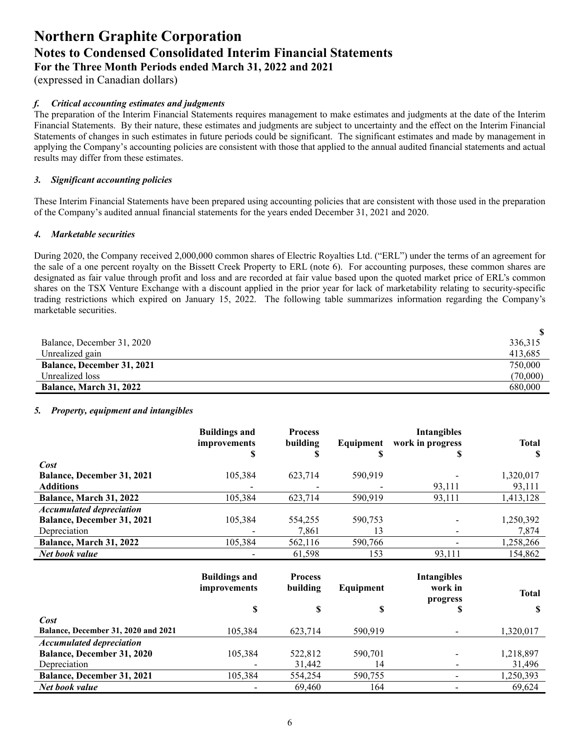(expressed in Canadian dollars)

### *f. Critical accounting estimates and judgments*

The preparation of the Interim Financial Statements requires management to make estimates and judgments at the date of the Interim Financial Statements. By their nature, these estimates and judgments are subject to uncertainty and the effect on the Interim Financial Statements of changes in such estimates in future periods could be significant. The significant estimates and made by management in applying the Company's accounting policies are consistent with those that applied to the annual audited financial statements and actual results may differ from these estimates.

### *3. Significant accounting policies*

These Interim Financial Statements have been prepared using accounting policies that are consistent with those used in the preparation of the Company's audited annual financial statements for the years ended December 31, 2021 and 2020.

### *4. Marketable securities*

During 2020, the Company received 2,000,000 common shares of Electric Royalties Ltd. ("ERL") under the terms of an agreement for the sale of a one percent royalty on the Bissett Creek Property to ERL (note 6). For accounting purposes, these common shares are designated as fair value through profit and loss and are recorded at fair value based upon the quoted market price of ERL's common shares on the TSX Venture Exchange with a discount applied in the prior year for lack of marketability relating to security-specific trading restrictions which expired on January 15, 2022. The following table summarizes information regarding the Company's marketable securities.

| Balance, December 31, 2020        | 336,315  |
|-----------------------------------|----------|
| Unrealized gain                   | 413,685  |
| <b>Balance, December 31, 2021</b> | 750,000  |
| Unrealized loss                   | (70,000) |
| <b>Balance, March 31, 2022</b>    | 680,000  |

### *5. Property, equipment and intangibles*

|                                   | <b>Buildings and</b><br><i>improvements</i><br>S | <b>Process</b><br>building | Equipment<br>S | <b>Intangibles</b><br>work in progress<br>D | <b>Total</b><br>ъ |
|-----------------------------------|--------------------------------------------------|----------------------------|----------------|---------------------------------------------|-------------------|
| Cost                              |                                                  |                            |                |                                             |                   |
| <b>Balance, December 31, 2021</b> | 105,384                                          | 623,714                    | 590,919        |                                             | 1,320,017         |
| <b>Additions</b>                  |                                                  |                            |                | 93,111                                      | 93,111            |
| Balance, March 31, 2022           | 105,384                                          | 623,714                    | 590,919        | 93,111                                      | 1,413,128         |
| <b>Accumulated depreciation</b>   |                                                  |                            |                |                                             |                   |
| <b>Balance, December 31, 2021</b> | 105,384                                          | 554,255                    | 590,753        |                                             | 1,250,392         |
| Depreciation                      |                                                  | 7,861                      | 13             |                                             | 7,874             |
| Balance, March 31, 2022           | 105,384                                          | 562,116                    | 590,766        |                                             | ,258,266          |
| Net book value                    |                                                  | 61,598                     | 153            | 93,111                                      | 154.862           |

|                                            | <b>Buildings and</b><br><i>improvements</i><br>S | <b>Process</b><br>building<br>S | Equipment<br>S | <b>Intangibles</b><br>work in<br>progress | <b>Total</b> |
|--------------------------------------------|--------------------------------------------------|---------------------------------|----------------|-------------------------------------------|--------------|
| Cost                                       |                                                  |                                 |                | D                                         |              |
| <b>Balance, December 31, 2020 and 2021</b> | 105,384                                          | 623.714                         | 590,919        |                                           | 1,320,017    |
| <b>Accumulated depreciation</b>            |                                                  |                                 |                |                                           |              |
| <b>Balance, December 31, 2020</b>          | 105,384                                          | 522,812                         | 590,701        |                                           | 1,218,897    |
| Depreciation                               |                                                  | 31,442                          | 14             |                                           | 31,496       |
| <b>Balance, December 31, 2021</b>          | 105,384                                          | 554,254                         | 590,755        |                                           | 1,250,393    |
| Net book value                             |                                                  | 69.460                          | 164            |                                           | 69,624       |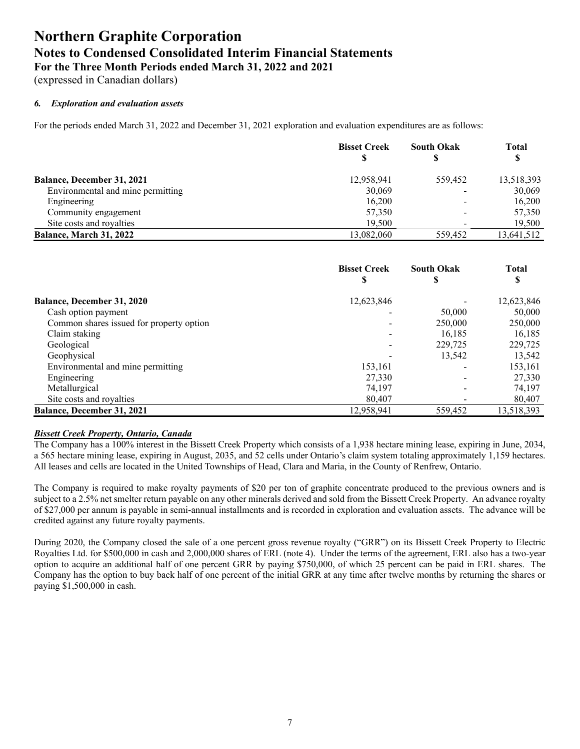(expressed in Canadian dollars)

### *6. Exploration and evaluation assets*

For the periods ended March 31, 2022 and December 31, 2021 exploration and evaluation expenditures are as follows:

|                                   | <b>Bisset Creek</b> | <b>South Okak</b> | <b>Total</b> |
|-----------------------------------|---------------------|-------------------|--------------|
|                                   | S                   |                   | D            |
| <b>Balance, December 31, 2021</b> | 12,958,941          | 559,452           | 13,518,393   |
| Environmental and mine permitting | 30,069              |                   | 30,069       |
| Engineering                       | 16,200              | -                 | 16,200       |
| Community engagement              | 57,350              |                   | 57,350       |
| Site costs and royalties          | 19.500              |                   | 19,500       |
| Balance, March 31, 2022           | 13.082.060          | 559,452           | 13,641,512   |

|                                          | <b>Bisset Creek</b><br>\$ | <b>South Okak</b><br>D   | <b>Total</b><br>S |
|------------------------------------------|---------------------------|--------------------------|-------------------|
| <b>Balance, December 31, 2020</b>        | 12,623,846                |                          | 12,623,846        |
| Cash option payment                      |                           | 50,000                   | 50,000            |
| Common shares issued for property option |                           | 250,000                  | 250,000           |
| Claim staking                            | $\overline{\phantom{a}}$  | 16.185                   | 16,185            |
| Geological                               | $\,$                      | 229,725                  | 229,725           |
| Geophysical                              |                           | 13,542                   | 13,542            |
| Environmental and mine permitting        | 153,161                   |                          | 153,161           |
| Engineering                              | 27,330                    |                          | 27,330            |
| Metallurgical                            | 74.197                    | $\overline{\phantom{0}}$ | 74,197            |
| Site costs and royalties                 | 80,407                    |                          | 80,407            |
| <b>Balance, December 31, 2021</b>        | 12,958,941                | 559,452                  | 13,518,393        |

### *Bissett Creek Property, Ontario, Canada*

The Company has a 100% interest in the Bissett Creek Property which consists of a 1,938 hectare mining lease, expiring in June, 2034, a 565 hectare mining lease, expiring in August, 2035, and 52 cells under Ontario's claim system totaling approximately 1,159 hectares. All leases and cells are located in the United Townships of Head, Clara and Maria, in the County of Renfrew, Ontario.

The Company is required to make royalty payments of \$20 per ton of graphite concentrate produced to the previous owners and is subject to a 2.5% net smelter return payable on any other minerals derived and sold from the Bissett Creek Property. An advance royalty of \$27,000 per annum is payable in semi-annual installments and is recorded in exploration and evaluation assets. The advance will be credited against any future royalty payments.

During 2020, the Company closed the sale of a one percent gross revenue royalty ("GRR") on its Bissett Creek Property to Electric Royalties Ltd. for \$500,000 in cash and 2,000,000 shares of ERL (note 4). Under the terms of the agreement, ERL also has a two-year option to acquire an additional half of one percent GRR by paying \$750,000, of which 25 percent can be paid in ERL shares. The Company has the option to buy back half of one percent of the initial GRR at any time after twelve months by returning the shares or paying \$1,500,000 in cash.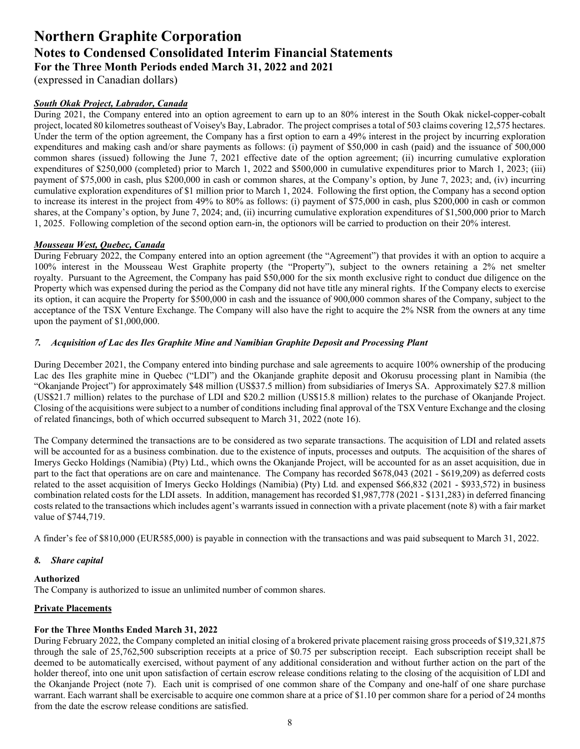(expressed in Canadian dollars)

### *South Okak Project, Labrador, Canada*

During 2021, the Company entered into an option agreement to earn up to an 80% interest in the South Okak nickel-copper-cobalt project, located 80 kilometres southeast of Voisey's Bay, Labrador. The project comprises a total of 503 claims covering 12,575 hectares. Under the term of the option agreement, the Company has a first option to earn a 49% interest in the project by incurring exploration expenditures and making cash and/or share payments as follows: (i) payment of \$50,000 in cash (paid) and the issuance of 500,000 common shares (issued) following the June 7, 2021 effective date of the option agreement; (ii) incurring cumulative exploration expenditures of \$250,000 (completed) prior to March 1, 2022 and \$500,000 in cumulative expenditures prior to March 1, 2023; (iii) payment of \$75,000 in cash, plus \$200,000 in cash or common shares, at the Company's option, by June 7, 2023; and, (iv) incurring cumulative exploration expenditures of \$1 million prior to March 1, 2024. Following the first option, the Company has a second option to increase its interest in the project from 49% to 80% as follows: (i) payment of \$75,000 in cash, plus \$200,000 in cash or common shares, at the Company's option, by June 7, 2024; and, (ii) incurring cumulative exploration expenditures of \$1,500,000 prior to March 1, 2025. Following completion of the second option earn-in, the optionors will be carried to production on their 20% interest.

### *Mousseau West, Quebec, Canada*

During February 2022, the Company entered into an option agreement (the "Agreement") that provides it with an option to acquire a 100% interest in the Mousseau West Graphite property (the "Property"), subject to the owners retaining a 2% net smelter royalty. Pursuant to the Agreement, the Company has paid \$50,000 for the six month exclusive right to conduct due diligence on the Property which was expensed during the period as the Company did not have title any mineral rights. If the Company elects to exercise its option, it can acquire the Property for \$500,000 in cash and the issuance of 900,000 common shares of the Company, subject to the acceptance of the TSX Venture Exchange. The Company will also have the right to acquire the 2% NSR from the owners at any time upon the payment of \$1,000,000.

### *7. Acquisition of Lac des Iles Graphite Mine and Namibian Graphite Deposit and Processing Plant*

During December 2021, the Company entered into binding purchase and sale agreements to acquire 100% ownership of the producing Lac des Iles graphite mine in Quebec ("LDI") and the Okanjande graphite deposit and Okorusu processing plant in Namibia (the "Okanjande Project") for approximately \$48 million (US\$37.5 million) from subsidiaries of Imerys SA. Approximately \$27.8 million (US\$21.7 million) relates to the purchase of LDI and \$20.2 million (US\$15.8 million) relates to the purchase of Okanjande Project. Closing of the acquisitions were subject to a number of conditions including final approval of the TSX Venture Exchange and the closing of related financings, both of which occurred subsequent to March 31, 2022 (note 16).

The Company determined the transactions are to be considered as two separate transactions. The acquisition of LDI and related assets will be accounted for as a business combination. due to the existence of inputs, processes and outputs. The acquisition of the shares of Imerys Gecko Holdings (Namibia) (Pty) Ltd., which owns the Okanjande Project, will be accounted for as an asset acquisition, due in part to the fact that operations are on care and maintenance. The Company has recorded \$678,043 (2021 - \$619,209) as deferred costs related to the asset acquisition of Imerys Gecko Holdings (Namibia) (Pty) Ltd. and expensed \$66,832 (2021 - \$933,572) in business combination related costs for the LDI assets. In addition, management has recorded \$1,987,778 (2021 - \$131,283) in deferred financing costs related to the transactions which includes agent's warrants issued in connection with a private placement (note 8) with a fair market value of \$744,719.

A finder's fee of \$810,000 (EUR585,000) is payable in connection with the transactions and was paid subsequent to March 31, 2022.

### *8. Share capital*

### **Authorized**

The Company is authorized to issue an unlimited number of common shares.

### **Private Placements**

### **For the Three Months Ended March 31, 2022**

During February 2022, the Company completed an initial closing of a brokered private placement raising gross proceeds of \$19,321,875 through the sale of 25,762,500 subscription receipts at a price of \$0.75 per subscription receipt. Each subscription receipt shall be deemed to be automatically exercised, without payment of any additional consideration and without further action on the part of the holder thereof, into one unit upon satisfaction of certain escrow release conditions relating to the closing of the acquisition of LDI and the Okanjande Project (note 7). Each unit is comprised of one common share of the Company and one-half of one share purchase warrant. Each warrant shall be exercisable to acquire one common share at a price of \$1.10 per common share for a period of 24 months from the date the escrow release conditions are satisfied.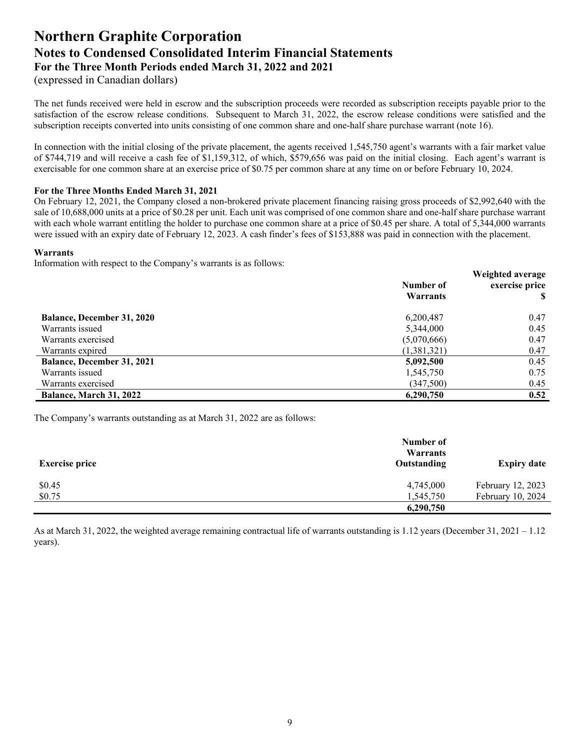(expressed in Canadian dollars)

The net funds received were held in escrow and the subscription proceeds were recorded as subscription receipts payable prior to the satisfaction of the escrow release conditions. Subsequent to March 31, 2022, the escrow release conditions were satisfied and the subscription receipts converted into units consisting of one common share and one-half share purchase warrant (note 16).

In connection with the initial closing of the private placement, the agents received 1,545,750 agent's warrants with a fair market value of \$744,719 and will receive a cash fee of \$1,159,312, of which, \$579,656 was paid on the initial closing. Each agent's warrant is exercisable for one common share at an exercise price of \$0.75 per common share at any time on or before February 10, 2024.

### **For the Three Months Ended March 31, 2021**

On February 12, 2021, the Company closed a non-brokered private placement financing raising gross proceeds of \$2,992,640 with the sale of 10,688,000 units at a price of \$0.28 per unit. Each unit was comprised of one common share and one-half share purchase warrant with each whole warrant entitling the holder to purchase one common share at a price of \$0.45 per share. A total of 5,344,000 warrants were issued with an expiry date of February 12, 2023. A cash finder's fees of \$153,888 was paid in connection with the placement.

### **Warrants**

Information with respect to the Company's warrants is as follows:

|                                       | Number of<br>Warrants    | Weighted average<br>exercise price |
|---------------------------------------|--------------------------|------------------------------------|
| <b>Balance, December 31, 2020</b>     | 6,200,487                | 0.47                               |
| Warrants issued<br>Warrants exercised | 5,344,000<br>(5,070,666) | 0.45<br>0.47                       |
| Warrants expired                      | (1,381,321)              | 0.47                               |
| <b>Balance, December 31, 2021</b>     | 5,092,500                | 0.45                               |
| Warrants issued                       | 1,545,750                | 0.75                               |
| Warrants exercised                    | (347,500)                | 0.45                               |
| <b>Balance, March 31, 2022</b>        | 6,290,750                | 0.52                               |

The Company's warrants outstanding as at March 31, 2022 are as follows:

| <b>Exercise price</b> | Number of<br>Warrants<br>Outstanding | <b>Expiry date</b> |
|-----------------------|--------------------------------------|--------------------|
| \$0.45                | 4,745,000                            | February 12, 2023  |
| \$0.75                | 1,545,750                            | February 10, 2024  |
|                       | 6,290,750                            |                    |

As at March 31, 2022, the weighted average remaining contractual life of warrants outstanding is 1.12 years (December 31, 2021 – 1.12 years).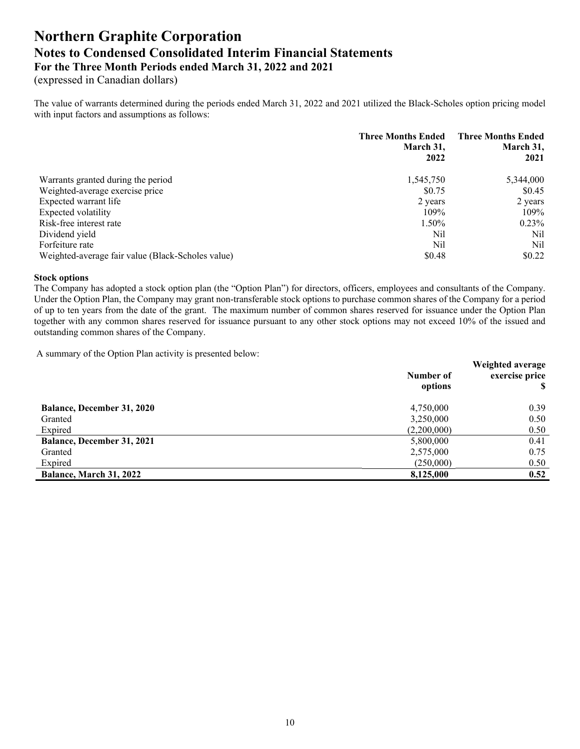(expressed in Canadian dollars)

The value of warrants determined during the periods ended March 31, 2022 and 2021 utilized the Black-Scholes option pricing model with input factors and assumptions as follows:

|                                                   | <b>Three Months Ended</b><br>March 31,<br>2022 | <b>Three Months Ended</b><br>March 31,<br>2021 |
|---------------------------------------------------|------------------------------------------------|------------------------------------------------|
| Warrants granted during the period                | 1,545,750                                      | 5,344,000                                      |
| Weighted-average exercise price                   | \$0.75                                         | \$0.45                                         |
| Expected warrant life                             | 2 years                                        | 2 years                                        |
| Expected volatility                               | 109%                                           | 109%                                           |
| Risk-free interest rate                           | 1.50%                                          | $0.23\%$                                       |
| Dividend yield                                    | Nil                                            | Nil                                            |
| Forfeiture rate                                   | Nil                                            | Nil                                            |
| Weighted-average fair value (Black-Scholes value) | \$0.48                                         | \$0.22                                         |

### **Stock options**

The Company has adopted a stock option plan (the "Option Plan") for directors, officers, employees and consultants of the Company. Under the Option Plan, the Company may grant non-transferable stock options to purchase common shares of the Company for a period of up to ten years from the date of the grant. The maximum number of common shares reserved for issuance under the Option Plan together with any common shares reserved for issuance pursuant to any other stock options may not exceed 10% of the issued and outstanding common shares of the Company.

A summary of the Option Plan activity is presented below:

|                                   | Number of<br>options | Weighted average<br>exercise price |
|-----------------------------------|----------------------|------------------------------------|
| <b>Balance, December 31, 2020</b> | 4,750,000            | 0.39                               |
| Granted                           | 3,250,000            | 0.50                               |
| Expired                           | (2,200,000)          | 0.50                               |
| <b>Balance, December 31, 2021</b> | 5,800,000            | 0.41                               |
| Granted                           | 2,575,000            | 0.75                               |
| Expired                           | (250,000)            | 0.50                               |
| Balance, March 31, 2022           | 8,125,000            | 0.52                               |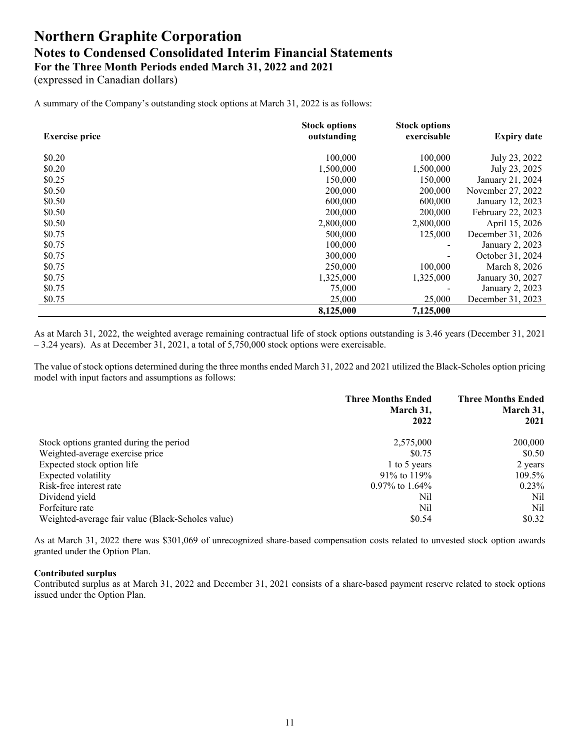(expressed in Canadian dollars)

A summary of the Company's outstanding stock options at March 31, 2022 is as follows:

|                       | <b>Stock options</b> | <b>Stock options</b> |                    |
|-----------------------|----------------------|----------------------|--------------------|
| <b>Exercise price</b> | outstanding          | exercisable          | <b>Expiry date</b> |
| \$0.20                | 100,000              | 100,000              | July 23, 2022      |
| \$0.20                | 1,500,000            | 1,500,000            | July 23, 2025      |
| \$0.25                | 150,000              | 150,000              | January 21, 2024   |
| \$0.50                | 200,000              | 200,000              | November 27, 2022  |
| \$0.50                | 600,000              | 600,000              | January 12, 2023   |
| \$0.50                | 200,000              | 200,000              | February 22, 2023  |
| \$0.50                | 2,800,000            | 2,800,000            | April 15, 2026     |
| \$0.75                | 500,000              | 125,000              | December 31, 2026  |
| \$0.75                | 100,000              |                      | January 2, 2023    |
| \$0.75                | 300,000              |                      | October 31, 2024   |
| \$0.75                | 250,000              | 100,000              | March 8, 2026      |
| \$0.75                | 1,325,000            | 1,325,000            | January 30, 2027   |
| \$0.75                | 75,000               |                      | January 2, 2023    |
| \$0.75                | 25,000               | 25,000               | December 31, 2023  |
|                       | 8,125,000            | 7,125,000            |                    |

As at March 31, 2022, the weighted average remaining contractual life of stock options outstanding is 3.46 years (December 31, 2021  $-3.24$  years). As at December 31, 2021, a total of 5,750,000 stock options were exercisable.

The value of stock options determined during the three months ended March 31, 2022 and 2021 utilized the Black-Scholes option pricing model with input factors and assumptions as follows:

|                                                   | <b>Three Months Ended</b><br>March 31,<br>2022 | <b>Three Months Ended</b><br>March 31,<br>2021 |
|---------------------------------------------------|------------------------------------------------|------------------------------------------------|
| Stock options granted during the period           | 2,575,000                                      | 200,000                                        |
| Weighted-average exercise price                   | \$0.75                                         | \$0.50                                         |
| Expected stock option life                        | 1 to 5 years                                   | 2 years                                        |
| Expected volatility                               | $91\%$ to $119\%$                              | 109.5%                                         |
| Risk-free interest rate                           | 0.97% to 1.64%                                 | $0.23\%$                                       |
| Dividend yield                                    | Nil                                            | Nil                                            |
| Forfeiture rate                                   | Nil                                            | Nil                                            |
| Weighted-average fair value (Black-Scholes value) | \$0.54                                         | \$0.32                                         |

As at March 31, 2022 there was \$301,069 of unrecognized share-based compensation costs related to unvested stock option awards granted under the Option Plan.

### **Contributed surplus**

Contributed surplus as at March 31, 2022 and December 31, 2021 consists of a share-based payment reserve related to stock options issued under the Option Plan.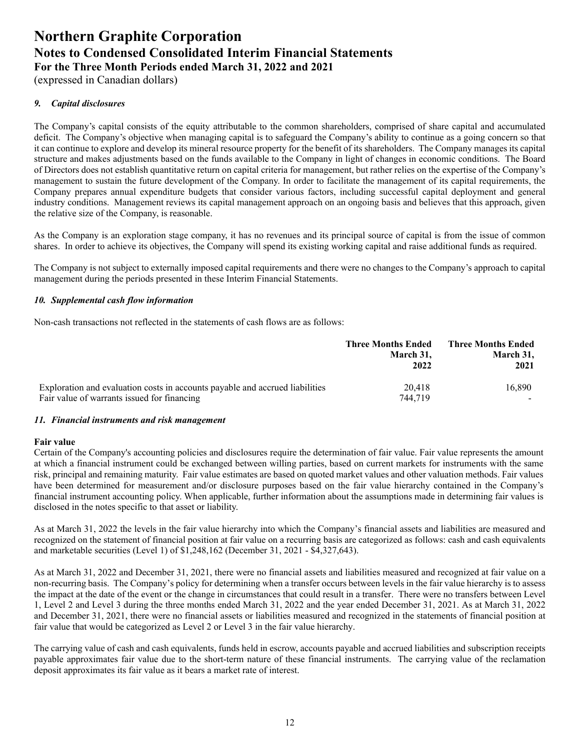(expressed in Canadian dollars)

### *9. Capital disclosures*

The Company's capital consists of the equity attributable to the common shareholders, comprised of share capital and accumulated deficit. The Company's objective when managing capital is to safeguard the Company's ability to continue as a going concern so that it can continue to explore and develop its mineral resource property for the benefit of its shareholders. The Company manages its capital structure and makes adjustments based on the funds available to the Company in light of changes in economic conditions. The Board of Directors does not establish quantitative return on capital criteria for management, but rather relies on the expertise of the Company's management to sustain the future development of the Company. In order to facilitate the management of its capital requirements, the Company prepares annual expenditure budgets that consider various factors, including successful capital deployment and general industry conditions. Management reviews its capital management approach on an ongoing basis and believes that this approach, given the relative size of the Company, is reasonable.

As the Company is an exploration stage company, it has no revenues and its principal source of capital is from the issue of common shares. In order to achieve its objectives, the Company will spend its existing working capital and raise additional funds as required.

The Company is not subject to externally imposed capital requirements and there were no changes to the Company's approach to capital management during the periods presented in these Interim Financial Statements.

### *10. Supplemental cash flow information*

Non-cash transactions not reflected in the statements of cash flows are as follows:

|                                                                                                                             | <b>Three Months Ended</b><br>March 31,<br>2022 | <b>Three Months Ended</b><br>March 31,<br>2021 |
|-----------------------------------------------------------------------------------------------------------------------------|------------------------------------------------|------------------------------------------------|
| Exploration and evaluation costs in accounts payable and accrued liabilities<br>Fair value of warrants issued for financing | 20.418<br>744,719                              | 16.890                                         |

### *11. Financial instruments and risk management*

### **Fair value**

Certain of the Company's accounting policies and disclosures require the determination of fair value. Fair value represents the amount at which a financial instrument could be exchanged between willing parties, based on current markets for instruments with the same risk, principal and remaining maturity. Fair value estimates are based on quoted market values and other valuation methods. Fair values have been determined for measurement and/or disclosure purposes based on the fair value hierarchy contained in the Company's financial instrument accounting policy. When applicable, further information about the assumptions made in determining fair values is disclosed in the notes specific to that asset or liability.

As at March 31, 2022 the levels in the fair value hierarchy into which the Company's financial assets and liabilities are measured and recognized on the statement of financial position at fair value on a recurring basis are categorized as follows: cash and cash equivalents and marketable securities (Level 1) of \$1,248,162 (December 31, 2021 - \$4,327,643).

As at March 31, 2022 and December 31, 2021, there were no financial assets and liabilities measured and recognized at fair value on a non-recurring basis. The Company's policy for determining when a transfer occurs between levels in the fair value hierarchy is to assess the impact at the date of the event or the change in circumstances that could result in a transfer. There were no transfers between Level 1, Level 2 and Level 3 during the three months ended March 31, 2022 and the year ended December 31, 2021. As at March 31, 2022 and December 31, 2021, there were no financial assets or liabilities measured and recognized in the statements of financial position at fair value that would be categorized as Level 2 or Level 3 in the fair value hierarchy.

The carrying value of cash and cash equivalents, funds held in escrow, accounts payable and accrued liabilities and subscription receipts payable approximates fair value due to the short-term nature of these financial instruments. The carrying value of the reclamation deposit approximates its fair value as it bears a market rate of interest.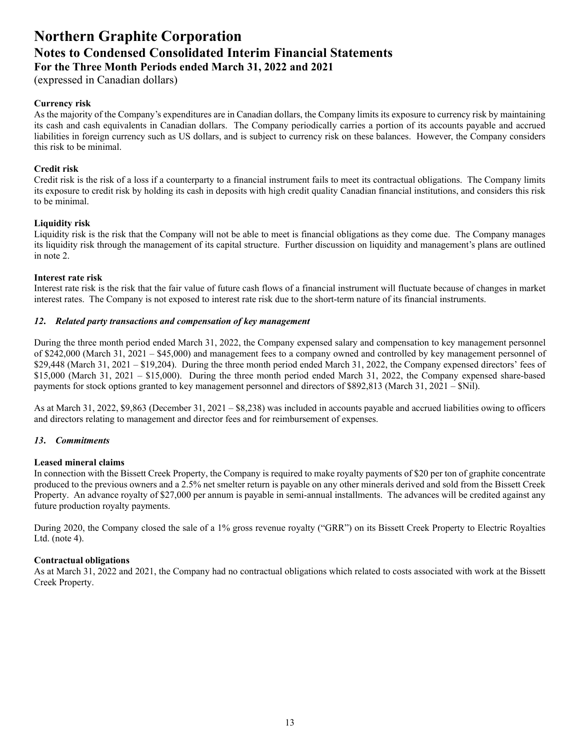(expressed in Canadian dollars)

### **Currency risk**

As the majority of the Company's expenditures are in Canadian dollars, the Company limits its exposure to currency risk by maintaining its cash and cash equivalents in Canadian dollars. The Company periodically carries a portion of its accounts payable and accrued liabilities in foreign currency such as US dollars, and is subject to currency risk on these balances. However, the Company considers this risk to be minimal.

### **Credit risk**

Credit risk is the risk of a loss if a counterparty to a financial instrument fails to meet its contractual obligations. The Company limits its exposure to credit risk by holding its cash in deposits with high credit quality Canadian financial institutions, and considers this risk to be minimal.

### **Liquidity risk**

Liquidity risk is the risk that the Company will not be able to meet is financial obligations as they come due. The Company manages its liquidity risk through the management of its capital structure. Further discussion on liquidity and management's plans are outlined in note 2.

### **Interest rate risk**

Interest rate risk is the risk that the fair value of future cash flows of a financial instrument will fluctuate because of changes in market interest rates. The Company is not exposed to interest rate risk due to the short-term nature of its financial instruments.

### *12***.** *Related party transactions and compensation of key management*

During the three month period ended March 31, 2022, the Company expensed salary and compensation to key management personnel of \$242,000 (March 31, 2021 – \$45,000) and management fees to a company owned and controlled by key management personnel of  $$29,448$  (March 31, 2021 –  $$19,204$ ). During the three month period ended March 31, 2022, the Company expensed directors' fees of \$15,000 (March 31, 2021 – \$15,000). During the three month period ended March 31, 2022, the Company expensed share-based payments for stock options granted to key management personnel and directors of \$892,813 (March 31, 2021 – \$Nil).

As at March 31, 2022, \$9,863 (December 31, 2021 – \$8,238) was included in accounts payable and accrued liabilities owing to officers and directors relating to management and director fees and for reimbursement of expenses.

### *13***.** *Commitments*

### **Leased mineral claims**

In connection with the Bissett Creek Property, the Company is required to make royalty payments of \$20 per ton of graphite concentrate produced to the previous owners and a 2.5% net smelter return is payable on any other minerals derived and sold from the Bissett Creek Property. An advance royalty of \$27,000 per annum is payable in semi-annual installments. The advances will be credited against any future production royalty payments.

During 2020, the Company closed the sale of a 1% gross revenue royalty ("GRR") on its Bissett Creek Property to Electric Royalties Ltd. (note 4).

### **Contractual obligations**

As at March 31, 2022 and 2021, the Company had no contractual obligations which related to costs associated with work at the Bissett Creek Property.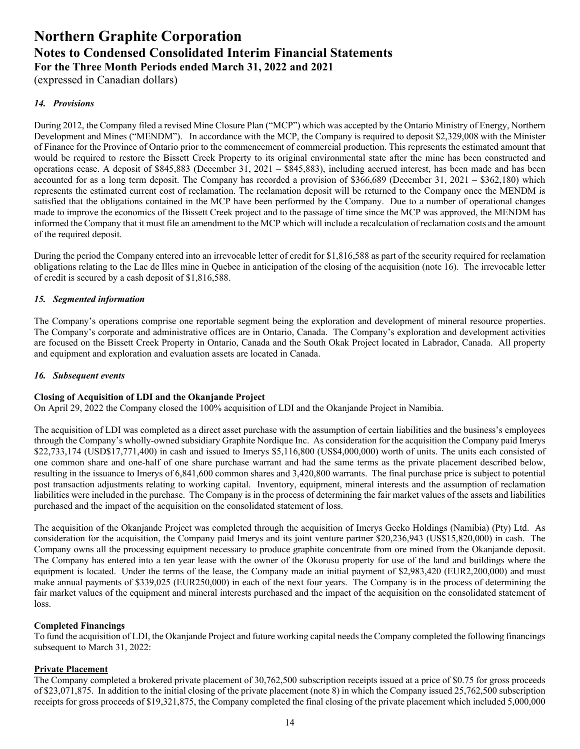(expressed in Canadian dollars)

### *14. Provisions*

During 2012, the Company filed a revised Mine Closure Plan ("MCP") which was accepted by the Ontario Ministry of Energy, Northern Development and Mines ("MENDM"). In accordance with the MCP, the Company is required to deposit \$2,329,008 with the Minister of Finance for the Province of Ontario prior to the commencement of commercial production. This represents the estimated amount that would be required to restore the Bissett Creek Property to its original environmental state after the mine has been constructed and operations cease. A deposit of \$845,883 (December 31, 2021 – \$845,883), including accrued interest, has been made and has been accounted for as a long term deposit. The Company has recorded a provision of \$366,689 (December 31, 2021 – \$362,180) which represents the estimated current cost of reclamation. The reclamation deposit will be returned to the Company once the MENDM is satisfied that the obligations contained in the MCP have been performed by the Company. Due to a number of operational changes made to improve the economics of the Bissett Creek project and to the passage of time since the MCP was approved, the MENDM has informed the Company that it must file an amendment to the MCP which will include a recalculation of reclamation costs and the amount of the required deposit.

During the period the Company entered into an irrevocable letter of credit for \$1,816,588 as part of the security required for reclamation obligations relating to the Lac de Illes mine in Quebec in anticipation of the closing of the acquisition (note 16). The irrevocable letter of credit is secured by a cash deposit of \$1,816,588.

### *15. Segmented information*

The Company's operations comprise one reportable segment being the exploration and development of mineral resource properties. The Company's corporate and administrative offices are in Ontario, Canada. The Company's exploration and development activities are focused on the Bissett Creek Property in Ontario, Canada and the South Okak Project located in Labrador, Canada. All property and equipment and exploration and evaluation assets are located in Canada.

### *16. Subsequent events*

### **Closing of Acquisition of LDI and the Okanjande Project**

On April 29, 2022 the Company closed the 100% acquisition of LDI and the Okanjande Project in Namibia.

The acquisition of LDI was completed as a direct asset purchase with the assumption of certain liabilities and the business's employees through the Company's wholly-owned subsidiary Graphite Nordique Inc. As consideration for the acquisition the Company paid Imerys \$22,733,174 (USD\$17,771,400) in cash and issued to Imerys \$5,116,800 (US\$4,000,000) worth of units. The units each consisted of one common share and one-half of one share purchase warrant and had the same terms as the private placement described below, resulting in the issuance to Imerys of 6,841,600 common shares and 3,420,800 warrants. The final purchase price is subject to potential post transaction adjustments relating to working capital. Inventory, equipment, mineral interests and the assumption of reclamation liabilities were included in the purchase. The Company is in the process of determining the fair market values of the assets and liabilities purchased and the impact of the acquisition on the consolidated statement of loss.

The acquisition of the Okanjande Project was completed through the acquisition of Imerys Gecko Holdings (Namibia) (Pty) Ltd. As consideration for the acquisition, the Company paid Imerys and its joint venture partner \$20,236,943 (US\$15,820,000) in cash. The Company owns all the processing equipment necessary to produce graphite concentrate from ore mined from the Okanjande deposit. The Company has entered into a ten year lease with the owner of the Okorusu property for use of the land and buildings where the equipment is located. Under the terms of the lease, the Company made an initial payment of \$2,983,420 (EUR2,200,000) and must make annual payments of \$339,025 (EUR250,000) in each of the next four years. The Company is in the process of determining the fair market values of the equipment and mineral interests purchased and the impact of the acquisition on the consolidated statement of loss.

### **Completed Financings**

To fund the acquisition of LDI, the Okanjande Project and future working capital needs the Company completed the following financings subsequent to March 31, 2022:

### **Private Placement**

The Company completed a brokered private placement of 30,762,500 subscription receipts issued at a price of \$0.75 for gross proceeds of \$23,071,875. In addition to the initial closing of the private placement (note 8) in which the Company issued 25,762,500 subscription receipts for gross proceeds of \$19,321,875, the Company completed the final closing of the private placement which included 5,000,000